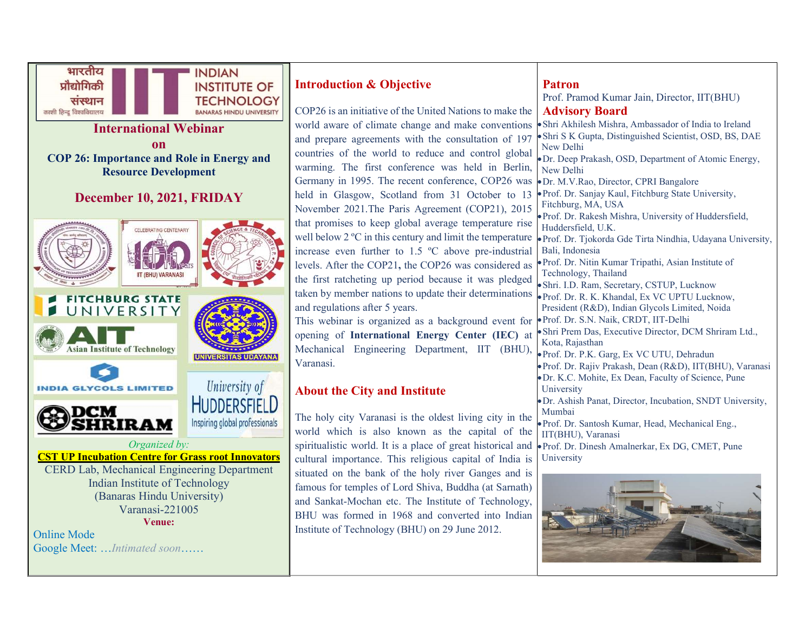